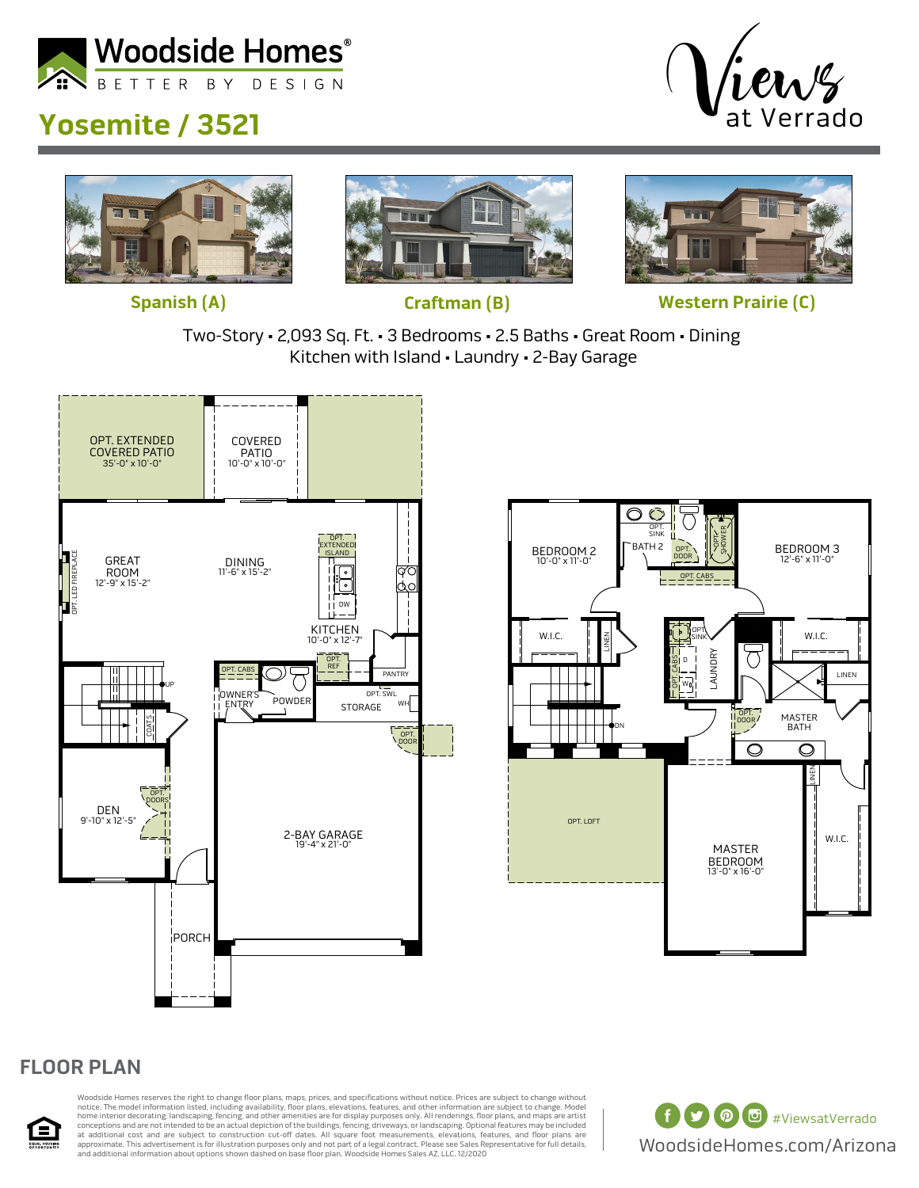

## **Yosemite / 3521**









**Spanish (A) Craftman (B) Western Prairie (C)**

Two-Story • 2,093 Sq. Ft. • 3 Bedrooms • 2.5 Baths • Great Room • Dining Kitchen with Island • Laundry • 2-Bay Garage





## **FLOOR PLAN**



Woodside Homes reserves the right to change floor plans, maps, prices, and specifications without notice. Prices are subject to change without notice. The model information listed, including availability, floor plans, elevations, features, and other information are subject to change. Model<br>home interior decorating, landscaping, fencing, and other amenities are fo at additional cost and are subject to construction cut-off dates. All square foot measurements, elevations, features, and floor plans are<br>approximate. This advertisement is for illustration purposes only and not part of a